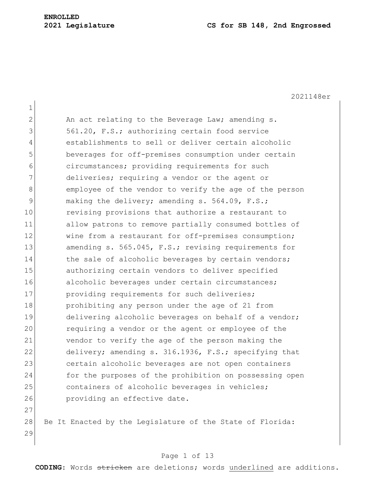2021148er

1 2 An act relating to the Beverage Law; amending s. 3 561.20, F.S.; authorizing certain food service 4 establishments to sell or deliver certain alcoholic 5 beverages for off-premises consumption under certain 6 circumstances; providing requirements for such 7 deliveries; requiring a vendor or the agent or 8 8 employee of the vendor to verify the age of the person 9 making the delivery; amending s. 564.09, F.S.; 10 revising provisions that authorize a restaurant to 11 allow patrons to remove partially consumed bottles of 12 wine from a restaurant for off-premises consumption; 13 amending s. 565.045, F.S.; revising requirements for 14 the sale of alcoholic beverages by certain vendors; 15 authorizing certain vendors to deliver specified 16 alcoholic beverages under certain circumstances; 17 providing requirements for such deliveries; 18 prohibiting any person under the age of 21 from 19 delivering alcoholic beverages on behalf of a vendor; 20 requiring a vendor or the agent or employee of the 21 vendor to verify the age of the person making the 22 delivery; amending s. 316.1936, F.S.; specifying that 23 certain alcoholic beverages are not open containers 24 for the purposes of the prohibition on possessing open 25 containers of alcoholic beverages in vehicles; 26 **providing an effective date.** 27 28 Be It Enacted by the Legislature of the State of Florida:

29

#### Page 1 of 13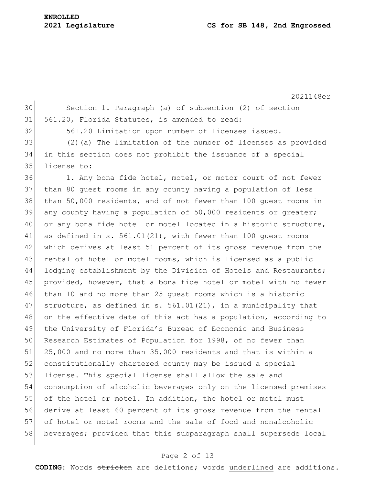# **ENROLLED**

#### **2021 Legislature CS for SB 148, 2nd Engrossed**

2021148er 30 Section 1. Paragraph (a) of subsection (2) of section 31 561.20, Florida Statutes, is amended to read: 32 561.20 Limitation upon number of licenses issued.-33 (2)(a) The limitation of the number of licenses as provided 34 in this section does not prohibit the issuance of a special 35 license to: 36 1. Any bona fide hotel, motel, or motor court of not fewer 37 than 80 guest rooms in any county having a population of less 38 than 50,000 residents, and of not fewer than 100 guest rooms in  $39$  any county having a population of 50,000 residents or greater; 40 or any bona fide hotel or motel located in a historic structure, 41 as defined in s. 561.01(21), with fewer than 100 quest rooms 42 which derives at least 51 percent of its gross revenue from the 43 rental of hotel or motel rooms, which is licensed as a public 44 lodging establishment by the Division of Hotels and Restaurants; 45 provided, however, that a bona fide hotel or motel with no fewer 46 than 10 and no more than 25 guest rooms which is a historic 47 structure, as defined in s. 561.01(21), in a municipality that 48 on the effective date of this act has a population, according to 49 the University of Florida's Bureau of Economic and Business 50 Research Estimates of Population for 1998, of no fewer than 51 25,000 and no more than 35,000 residents and that is within a 52 constitutionally chartered county may be issued a special 53 license. This special license shall allow the sale and 54 consumption of alcoholic beverages only on the licensed premises 55 of the hotel or motel. In addition, the hotel or motel must 56 derive at least 60 percent of its gross revenue from the rental 57 of hotel or motel rooms and the sale of food and nonalcoholic 58 beverages; provided that this subparagraph shall supersede local

#### Page 2 of 13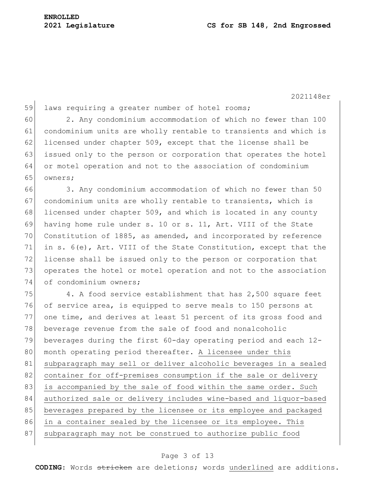2021148er

59 laws requiring a greater number of hotel rooms; 60 2. Any condominium accommodation of which no fewer than 100 61 condominium units are wholly rentable to transients and which is 62 licensed under chapter 509, except that the license shall be 63 issued only to the person or corporation that operates the hotel 64 or motel operation and not to the association of condominium 65 owners; 66 3. Any condominium accommodation of which no fewer than 50 67 condominium units are wholly rentable to transients, which is 68 licensed under chapter 509, and which is located in any county 69 having home rule under s. 10 or s. 11, Art. VIII of the State 70 Constitution of 1885, as amended, and incorporated by reference 71 in s. 6(e), Art. VIII of the State Constitution, except that the 72 license shall be issued only to the person or corporation that 73 operates the hotel or motel operation and not to the association 74 of condominium owners; 75 4. A food service establishment that has 2,500 square feet 76 of service area, is equipped to serve meals to 150 persons at 77 one time, and derives at least 51 percent of its gross food and 78 beverage revenue from the sale of food and nonalcoholic 79 beverages during the first 60-day operating period and each 12- 80 month operating period thereafter. A licensee under this 81 subparagraph may sell or deliver alcoholic beverages in a sealed 82 container for off-premises consumption if the sale or delivery 83 is accompanied by the sale of food within the same order. Such 84 authorized sale or delivery includes wine-based and liquor-based 85 beverages prepared by the licensee or its employee and packaged 86 in a container sealed by the licensee or its employee. This

87 subparagraph may not be construed to authorize public food

# Page 3 of 13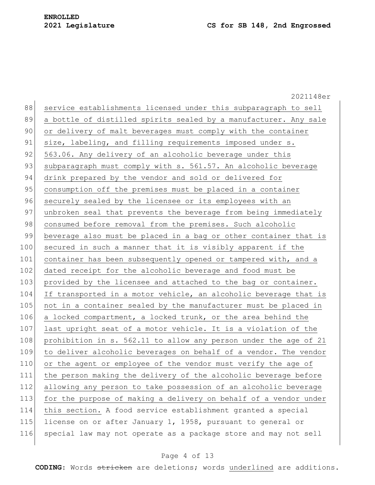2021148er 88 service establishments licensed under this subparagraph to sell 89 a bottle of distilled spirits sealed by a manufacturer. Any sale 90 or delivery of malt beverages must comply with the container 91 size, labeling, and filling requirements imposed under s. 92 563.06. Any delivery of an alcoholic beverage under this 93 | subparagraph must comply with s. 561.57. An alcoholic beverage 94 drink prepared by the vendor and sold or delivered for 95 consumption off the premises must be placed in a container 96 securely sealed by the licensee or its employees with an 97 unbroken seal that prevents the beverage from being immediately 98 consumed before removal from the premises. Such alcoholic 99 beverage also must be placed in a bag or other container that is 100 secured in such a manner that it is visibly apparent if the 101 container has been subsequently opened or tampered with, and a 102 dated receipt for the alcoholic beverage and food must be 103 provided by the licensee and attached to the bag or container. 104 If transported in a motor vehicle, an alcoholic beverage that is 105 not in a container sealed by the manufacturer must be placed in 106 a locked compartment, a locked trunk, or the area behind the 107 last upright seat of a motor vehicle. It is a violation of the 108 prohibition in s. 562.11 to allow any person under the age of 21 109 to deliver alcoholic beverages on behalf of a vendor. The vendor 110 or the agent or employee of the vendor must verify the age of 111 the person making the delivery of the alcoholic beverage before 112 allowing any person to take possession of an alcoholic beverage 113 for the purpose of making a delivery on behalf of a vendor under 114 this section. A food service establishment granted a special 115 license on or after January 1, 1958, pursuant to general or 116 special law may not operate as a package store and may not sell

#### Page 4 of 13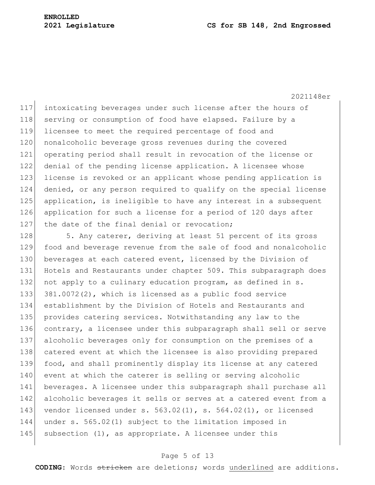#### **2021 Legislature CS for SB 148, 2nd Engrossed**

2021148er

117 intoxicating beverages under such license after the hours of 118 serving or consumption of food have elapsed. Failure by a 119 licensee to meet the required percentage of food and 120 nonalcoholic beverage gross revenues during the covered 121 operating period shall result in revocation of the license or 122 denial of the pending license application. A licensee whose 123 license is revoked or an applicant whose pending application is 124 denied, or any person required to qualify on the special license 125 application, is ineligible to have any interest in a subsequent 126 application for such a license for a period of 120 days after 127  $\vert$  the date of the final denial or revocation;

128 5. Any caterer, deriving at least 51 percent of its gross 129 food and beverage revenue from the sale of food and nonalcoholic 130 beverages at each catered event, licensed by the Division of 131 Hotels and Restaurants under chapter 509. This subparagraph does 132 not apply to a culinary education program, as defined in s. 133 381.0072(2), which is licensed as a public food service 134 establishment by the Division of Hotels and Restaurants and 135 provides catering services. Notwithstanding any law to the 136 contrary, a licensee under this subparagraph shall sell or serve 137 alcoholic beverages only for consumption on the premises of a 138 catered event at which the licensee is also providing prepared 139 food, and shall prominently display its license at any catered 140 event at which the caterer is selling or serving alcoholic 141 beverages. A licensee under this subparagraph shall purchase all 142 alcoholic beverages it sells or serves at a catered event from a 143 vendor licensed under s.  $563.02(1)$ , s.  $564.02(1)$ , or licensed 144 under s. 565.02(1) subject to the limitation imposed in 145 subsection  $(1)$ , as appropriate. A licensee under this

#### Page 5 of 13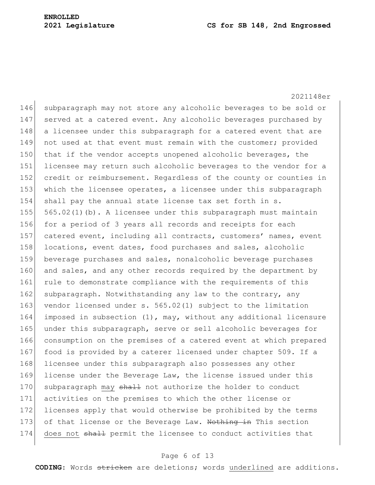2021148er 146 subparagraph may not store any alcoholic beverages to be sold or 147 served at a catered event. Any alcoholic beverages purchased by 148 a licensee under this subparagraph for a catered event that are 149 not used at that event must remain with the customer; provided 150 that if the vendor accepts unopened alcoholic beverages, the 151 licensee may return such alcoholic beverages to the vendor for a 152 credit or reimbursement. Regardless of the county or counties in 153 which the licensee operates, a licensee under this subparagraph 154 shall pay the annual state license tax set forth in s. 155  $565.02(1)(b)$ . A licensee under this subparagraph must maintain 156 for a period of 3 years all records and receipts for each 157 catered event, including all contracts, customers' names, event 158 locations, event dates, food purchases and sales, alcoholic 159 beverage purchases and sales, nonalcoholic beverage purchases 160 and sales, and any other records required by the department by 161 rule to demonstrate compliance with the requirements of this 162 subparagraph. Notwithstanding any law to the contrary, any 163 vendor licensed under s. 565.02(1) subject to the limitation 164 imposed in subsection (1), may, without any additional licensure 165 under this subparagraph, serve or sell alcoholic beverages for 166 consumption on the premises of a catered event at which prepared 167 food is provided by a caterer licensed under chapter 509. If a 168 licensee under this subparagraph also possesses any other 169 license under the Beverage Law, the license issued under this 170 subparagraph may shall not authorize the holder to conduct 171 activities on the premises to which the other license or 172 licenses apply that would otherwise be prohibited by the terms 173 of that license or the Beverage Law. Nothing in This section 174 does not shall permit the licensee to conduct activities that

# Page 6 of 13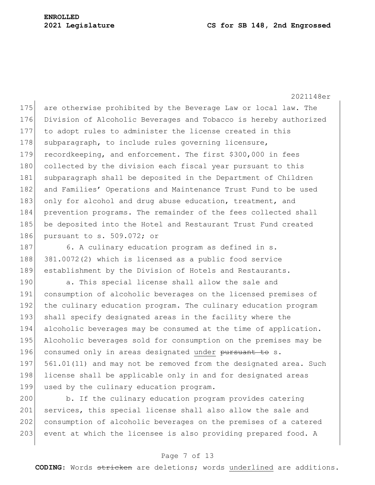#### **2021 Legislature CS for SB 148, 2nd Engrossed**

2021148er

175 are otherwise prohibited by the Beverage Law or local law. The 176 Division of Alcoholic Beverages and Tobacco is hereby authorized 177 to adopt rules to administer the license created in this 178 subparagraph, to include rules governing licensure, 179 recordkeeping, and enforcement. The first \$300,000 in fees 180 collected by the division each fiscal year pursuant to this 181 subparagraph shall be deposited in the Department of Children 182 and Families' Operations and Maintenance Trust Fund to be used 183 only for alcohol and drug abuse education, treatment, and 184 prevention programs. The remainder of the fees collected shall 185 be deposited into the Hotel and Restaurant Trust Fund created 186 pursuant to s. 509.072; or

187 6. A culinary education program as defined in s. 188 381.0072(2) which is licensed as a public food service 189 establishment by the Division of Hotels and Restaurants.

190 a. This special license shall allow the sale and 191 consumption of alcoholic beverages on the licensed premises of 192 the culinary education program. The culinary education program 193 shall specify designated areas in the facility where the 194 alcoholic beverages may be consumed at the time of application. 195 Alcoholic beverages sold for consumption on the premises may be 196 consumed only in areas designated under pursuant to s. 197 561.01(11) and may not be removed from the designated area. Such 198 license shall be applicable only in and for designated areas 199 used by the culinary education program.

200 b. If the culinary education program provides catering 201 services, this special license shall also allow the sale and 202 consumption of alcoholic beverages on the premises of a catered 203 event at which the licensee is also providing prepared food. A

# Page 7 of 13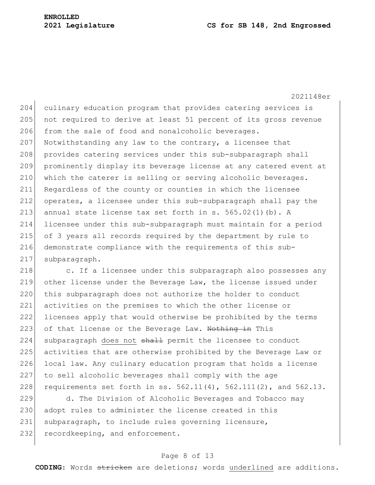#### **2021 Legislature CS for SB 148, 2nd Engrossed**

2021148er

204 culinary education program that provides catering services is 205 not required to derive at least 51 percent of its gross revenue 206 from the sale of food and nonalcoholic beverages. 207 Notwithstanding any law to the contrary, a licensee that 208 provides catering services under this sub-subparagraph shall 209 prominently display its beverage license at any catered event at 210 which the caterer is selling or serving alcoholic beverages. 211 Regardless of the county or counties in which the licensee 212 operates, a licensee under this sub-subparagraph shall pay the 213 annual state license tax set forth in s.  $565.02(1)(b)$ . A 214 licensee under this sub-subparagraph must maintain for a period 215 of 3 years all records required by the department by rule to 216 demonstrate compliance with the requirements of this sub-217 subparagraph.

218 c. If a licensee under this subparagraph also possesses any 219 other license under the Beverage Law, the license issued under 220 this subparagraph does not authorize the holder to conduct 221 activities on the premises to which the other license or 222 licenses apply that would otherwise be prohibited by the terms 223 of that license or the Beverage Law. Nothing in This 224 subparagraph does not shall permit the licensee to conduct 225 activities that are otherwise prohibited by the Beverage Law or 226 local law. Any culinary education program that holds a license 227 to sell alcoholic beverages shall comply with the age 228 requirements set forth in ss.  $562.11(4)$ ,  $562.111(2)$ , and  $562.13$ .

229 d. The Division of Alcoholic Beverages and Tobacco may 230 adopt rules to administer the license created in this 231 subparagraph, to include rules governing licensure, 232 recordkeeping, and enforcement.

#### Page 8 of 13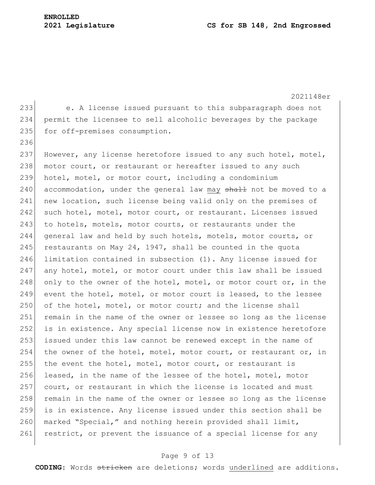236

2021148er 233 e. A license issued pursuant to this subparagraph does not 234 permit the licensee to sell alcoholic beverages by the package 235 for off-premises consumption.

237 However, any license heretofore issued to any such hotel, motel, 238 motor court, or restaurant or hereafter issued to any such 239 hotel, motel, or motor court, including a condominium 240 accommodation, under the general law may shall not be moved to a 241 new location, such license being valid only on the premises of 242 such hotel, motel, motor court, or restaurant. Licenses issued 243 to hotels, motels, motor courts, or restaurants under the 244 general law and held by such hotels, motels, motor courts, or 245 restaurants on May 24, 1947, shall be counted in the quota 246 limitation contained in subsection (1). Any license issued for 247 any hotel, motel, or motor court under this law shall be issued 248 only to the owner of the hotel, motel, or motor court or, in the 249 event the hotel, motel, or motor court is leased, to the lessee 250 of the hotel, motel, or motor court; and the license shall 251 remain in the name of the owner or lessee so long as the license 252 is in existence. Any special license now in existence heretofore 253 issued under this law cannot be renewed except in the name of 254 the owner of the hotel, motel, motor court, or restaurant or, in 255 the event the hotel, motel, motor court, or restaurant is 256 leased, in the name of the lessee of the hotel, motel, motor 257 court, or restaurant in which the license is located and must 258 remain in the name of the owner or lessee so long as the license 259 is in existence. Any license issued under this section shall be 260 marked "Special," and nothing herein provided shall limit, 261 restrict, or prevent the issuance of a special license for any

# Page 9 of 13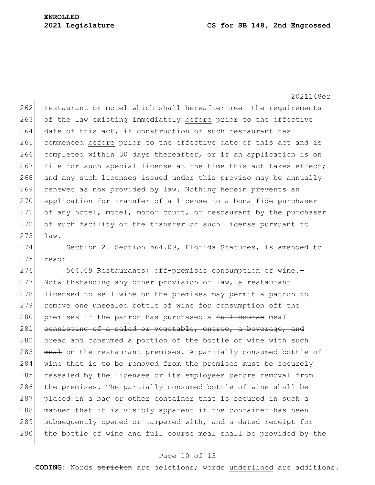2021148er

262 restaurant or motel which shall hereafter meet the requirements 263 of the law existing immediately before prior to the effective 264 date of this act, if construction of such restaurant has 265 commenced before  $\frac{p}{p}$  be the effective date of this act and is 266 completed within 30 days thereafter, or if an application is on 267 file for such special license at the time this act takes effect; 268 and any such licenses issued under this proviso may be annually 269 renewed as now provided by law. Nothing herein prevents an 270 application for transfer of a license to a bona fide purchaser 271 of any hotel, motel, motor court, or restaurant by the purchaser 272 of such facility or the transfer of such license pursuant to 273 law.

274 Section 2. Section 564.09, Florida Statutes, is amended to  $275$  read:

276 564.09 Restaurants; off-premises consumption of wine.-277 Notwithstanding any other provision of law, a restaurant 278 licensed to sell wine on the premises may permit a patron to 279 remove one unsealed bottle of wine for consumption off the 280 premises if the patron has purchased a  $f$ ull course meal 281 consisting of a salad or vegetable, entree, a beverage, and 282 bread and consumed a portion of the bottle of wine with such 283 meal on the restaurant premises. A partially consumed bottle of 284 wine that is to be removed from the premises must be securely 285 resealed by the licensee or its employees before removal from 286 the premises. The partially consumed bottle of wine shall be 287 placed in a bag or other container that is secured in such a 288 manner that it is visibly apparent if the container has been 289 subsequently opened or tampered with, and a dated receipt for 290 the bottle of wine and  $f_{\text{t}}$  course meal shall be provided by the

# Page 10 of 13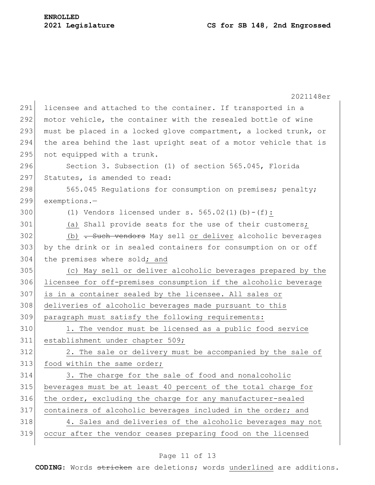|     | 2021148er                                                        |
|-----|------------------------------------------------------------------|
| 291 | licensee and attached to the container. If transported in a      |
| 292 | motor vehicle, the container with the resealed bottle of wine    |
| 293 | must be placed in a locked glove compartment, a locked trunk, or |
| 294 | the area behind the last upright seat of a motor vehicle that is |
| 295 | not equipped with a trunk.                                       |
| 296 | Section 3. Subsection (1) of section 565.045, Florida            |
| 297 | Statutes, is amended to read:                                    |
| 298 | 565.045 Regulations for consumption on premises; penalty;        |
| 299 | $exemptions. -$                                                  |
| 300 | (1) Vendors licensed under s. $565.02(1)(b) - (f)$ :             |
| 301 | (a) Shall provide seats for the use of their customers;          |
| 302 | (b) . Such vendors May sell or deliver alcoholic beverages       |
| 303 | by the drink or in sealed containers for consumption on or off   |
| 304 | the premises where sold; and                                     |
| 305 | (c) May sell or deliver alcoholic beverages prepared by the      |
| 306 | licensee for off-premises consumption if the alcoholic beverage  |
| 307 | is in a container sealed by the licensee. All sales or           |
| 308 | deliveries of alcoholic beverages made pursuant to this          |
| 309 | paragraph must satisfy the following requirements:               |
| 310 | 1. The vendor must be licensed as a public food service          |
| 311 | establishment under chapter 509;                                 |
| 312 | 2. The sale or delivery must be accompanied by the sale of       |
| 313 | food within the same order;                                      |
| 314 | 3. The charge for the sale of food and nonalcoholic              |
| 315 | beverages must be at least 40 percent of the total charge for    |
| 316 | the order, excluding the charge for any manufacturer-sealed      |
| 317 | containers of alcoholic beverages included in the order; and     |
| 318 | 4. Sales and deliveries of the alcoholic beverages may not       |
| 319 | occur after the vendor ceases preparing food on the licensed     |
|     |                                                                  |

# Page 11 of 13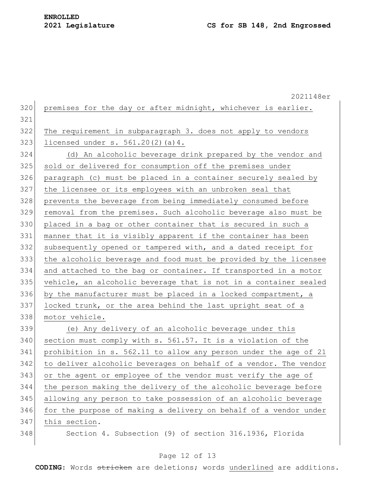2021148er 320 premises for the day or after midnight, whichever is earlier. The requirement in subparagraph 3. does not apply to vendors 323 licensed under s.  $561.20(2)(a)4$ . (d) An alcoholic beverage drink prepared by the vendor and 325 sold or delivered for consumption off the premises under paragraph (c) must be placed in a container securely sealed by the licensee or its employees with an unbroken seal that prevents the beverage from being immediately consumed before removal from the premises. Such alcoholic beverage also must be placed in a bag or other container that is secured in such a manner that it is visibly apparent if the container has been 332 subsequently opened or tampered with, and a dated receipt for the alcoholic beverage and food must be provided by the licensee and attached to the bag or container. If transported in a motor vehicle, an alcoholic beverage that is not in a container sealed by the manufacturer must be placed in a locked compartment, a 337 locked trunk, or the area behind the last upright seat of a motor vehicle. (e) Any delivery of an alcoholic beverage under this 340 section must comply with s. 561.57. It is a violation of the prohibition in s. 562.11 to allow any person under the age of 21 to deliver alcoholic beverages on behalf of a vendor. The vendor or the agent or employee of the vendor must verify the age of the person making the delivery of the alcoholic beverage before allowing any person to take possession of an alcoholic beverage 346 for the purpose of making a delivery on behalf of a vendor under 347 this section. Section 4. Subsection (9) of section 316.1936, Florida

#### Page 12 of 13